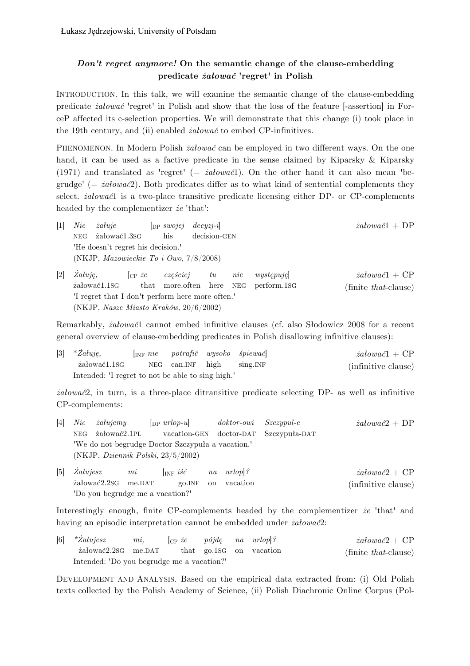## *Don't regret anymore!* **On the semantic change of the clause-embedding predicate** *żałować* **'regret' in Polish**

INTRODUCTION. In this talk, we will examine the semantic change of the clause-embedding predicate *żałować* 'regret' in Polish and show that the loss of the feature [-assertion] in ForceP affected its c-selection properties. We will demonstrate that this change (i) took place in the 19th century, and (ii) enabled *żałować* to embed CP-infinitives.

PHENOMENON. In Modern Polish *żałować* can be employed in two different ways. On the one hand, it can be used as a factive predicate in the sense claimed by Kiparsky & Kiparsky (1971) and translated as 'regret' (= *żałować*1). On the other hand it can also mean 'begrudge' (= *żałować*2). Both predicates differ as to what kind of sentential complements they select. *żałować*1 is a two-place transitive predicate licensing either DP- or CP-complements headed by the complementizer *że* 'that':

- *żałować*1 + DP  $[1]$  *Nie żałuje*  $\left[\n \begin{array}{ccc}\n \text{op} \text{ } swojej & \text{ } decyzj-i\n \end{array}\n\right]$ NEG żałować1.3SG his decision-GEN 'He doesn't regret his decision.' (NKJP, *Mazowieckie To i Owo*, 7/8/2008)
- *żałować*1 + CP (finite *that*-clause) [2] *Żałuję,* [CP *że częściej tu nie występuję*] żałować1.1SG that more.often here NEG perform.1SG 'I regret that I don't perform here more often.' (NKJP, *Nasze Miasto Kraków*, 20/6/2002)

Remarkably, *żałować*1 cannot embed infinitive clauses (cf. also Słodowicz 2008 for a recent general overview of clause-embedding predicates in Polish disallowing infinitive clauses):

| $[3]$ * $\mathbb{Z}aluje$ ,                       |  |                           | $\begin{bmatrix} {\rm INF} & nie & potrafić & wysoko & spiewać \end{bmatrix}$ | $z$ ałować $1 + \text{CP}$ |
|---------------------------------------------------|--|---------------------------|-------------------------------------------------------------------------------|----------------------------|
| żałować1.1sG                                      |  | NEG can.INF high sing.INF |                                                                               | (infinitive clause)        |
| Intended: 'I regret to not be able to sing high.' |  |                           |                                                                               |                            |

*żałować*2, in turn, is a three-place ditransitive predicate selecting DP- as well as infinitive CP-complements:

- *żałować*2 + DP [4] *Nie żałujemy* [DP *urlop-u*] *doktor-owi Szczypul-e* NEG żałować2.1PL vacation-GEN doctor-DAT Szczypuła-DAT 'We do not begrudge Doctor Szczypuła a vacation.' (NKJP, *Dziennik Polski*, 23/5/2002)
- *żałować*2 + CP (infinitive clause) [5] *Żałujesz mi* [INF *iść na urlop*]*?* żałować2.2SG me.DAT go.INF on vacation 'Do you begrudge me a vacation?'

Interestingly enough, finite CP-complements headed by the complementizer *że* 'that' and having an episodic interpretation cannot be embedded under *żałować*2:

| $[6]$ * $\dot{Z}alujesz$                   | $mi$ . | $ _{CP}$ <i>ie</i> pójdę na urlop $ $ ? |  |                         | $z$ ałować $2 + \text{CP}$   |
|--------------------------------------------|--------|-----------------------------------------|--|-------------------------|------------------------------|
| załować 2.2sG me.DAT                       |        |                                         |  | that go.1sG on vacation | (finite <i>that</i> -clause) |
| Intended: 'Do you begrudge me a vacation?' |        |                                         |  |                         |                              |

DEVELOPMENT AND ANALYSIS. Based on the empirical data extracted from: (i) Old Polish texts collected by the Polish Academy of Science, (ii) Polish Diachronic Online Corpus (Pol